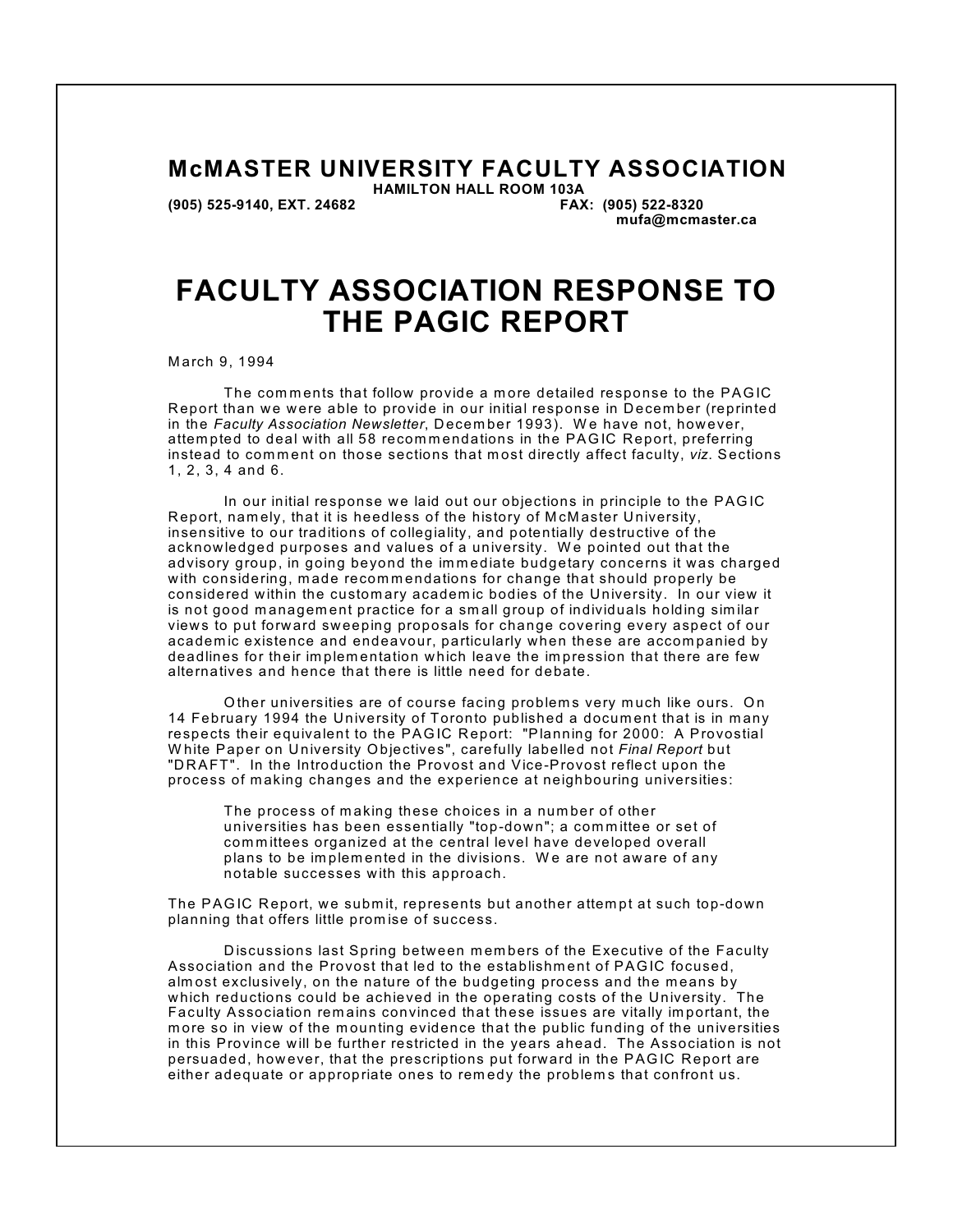## **McMASTER UNIVERSITY FACULTY ASSOCIATION**

 **(905) 525-9140, EXT. 24682 FAX: (905) 522-8320**

 **HAMILTON HALL ROOM 103A mufa@mcmaster.ca**

# **FACULTY ASSOCIATION RESPONSE TO THE PAGIC REPORT**

M arch 9, 1994

The comments that follow provide a more detailed response to the PAGIC Report than we were able to provide in our initial response in December (reprinted in the *Faculty Association Newsletter*, Decem ber 1993). W e have not, how ever, attempted to deal with all 58 recommendations in the PAGIC Report, preferring instead to comment on those sections that most directly affect faculty, viz. Sections 1, 2, 3, 4 and 6.

In our initial response we laid out our objections in principle to the PAGIC R eport, nam ely, that it is heedless of the history of M cM aster University, insensitive to our traditions of collegiality, and potentially destructive of the acknowledged purposes and values of a university. W e pointed out that the advisory group, in going beyond the immediate budgetary concerns it was charged with considering, made recommendations for change that should properly be considered within the custom ary academ ic bodies of the University. In our view it is not good management practice for a small group of individuals holding similar views to put forw ard sw eeping proposals for change covering every aspect of our academ ic existence and endeavour, particularly when these are accom panied by deadlines for their implementation which leave the impression that there are few alternatives and hence that there is little need for debate.

Other universities are of course facing problems very much like ours. On 14 February 1994 the University of Toronto published a document that is in many respects their equivalent to the PAGIC Report: "Planning for 2000: A Provostial W hite Paper on University Objectives", carefully labelled not *Final Report* but "D R AFT". In the Introduction the Provost and Vice-Provost reflect upon the process of m aking changes and the experience at neighbouring universities:

The process of m aking these choices in a num ber of other universities has been essentially "top-down"; a com m ittee or set of com m ittees organized at the central level have developed overall plans to be im plem ented in the divisions. W e are not aware of any notable successes with this approach.

The PAGIC Report, we submit, represents but another attempt at such top-down planning that offers little prom ise of success.

Discussions last Spring between members of the Executive of the Faculty Association and the Provost that led to the establishm ent of PAGIC focused, almost exclusively, on the nature of the budgeting process and the means by w hich reductions could be achieved in the operating costs of the University. The Faculty Association rem ains convinced that these issues are vitally im portant, the more so in view of the mounting evidence that the public funding of the universities in this Province will be further restricted in the years ahead. The Association is not persuaded, how ever, that the prescriptions put forward in the PAGIC Report are either adequate or appropriate ones to remedy the problems that confront us.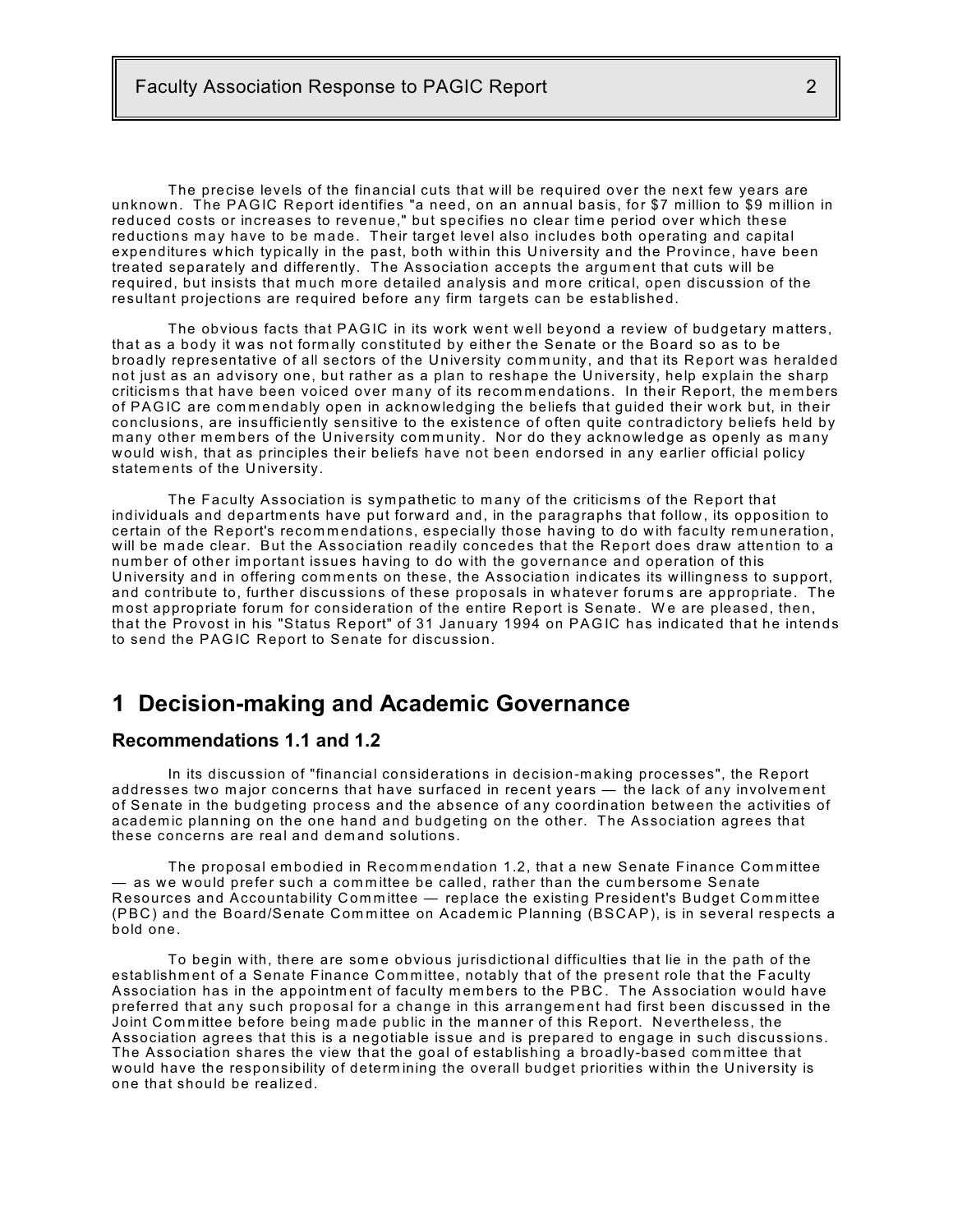The precise levels of the financial cuts that will be required over the next few years are unknown. The PAGIC Report identifies "a need, on an annual basis, for \$7 m illion to \$9 m illion in reduced costs or increases to revenue," but specifies no clear tim e period over which these reductions may have to be made. Their target level also includes both operating and capital expenditures which typically in the past, both within this University and the Province, have been treated separately and differently. The Association accepts the argum ent that cuts will be required, but insists that much more detailed analysis and more critical, open discussion of the resultant projections are required before any firm targets can be established.

The obvious facts that PAGIC in its work went well beyond a review of budgetary m atters, that as a body it was not form ally constituted by either the Senate or the Board so as to be broadly representative of all sectors of the University community, and that its Report was heralded not just as an advisory one, but rather as a plan to reshape the University, help explain the sharp criticisms that have been voiced over many of its recommendations. In their Report, the members of PAGIC are commendably open in acknowledging the beliefs that guided their work but, in their conclusions, are insufficiently sensitive to the existence of often quite contradictory beliefs held by many other members of the University community. Nor do they acknowledge as openly as many w ould w ish, that as principles their beliefs have not been endorsed in any earlier official policy statem ents of the University.

The Faculty Association is sympathetic to many of the criticisms of the Report that individuals and departm ents have put forw ard and, in the paragraphs that follow , its opposition to certain of the Report's recommendations, especially those having to do with faculty remuneration, w ill be m ade clear. But the Association readily concedes that the Report does draw attention to a num ber of other im portant issues having to do with the governance and operation of this University and in offering comments on these, the Association indicates its willingness to support, and contribute to, further discussions of these proposals in whatever forums are appropriate. The most appropriate forum for consideration of the entire Report is Senate. We are pleased, then, that the Provost in his "Status Report" of 31 January 1994 on PAGIC has indicated that he intends to send the PAGIC Report to Senate for discussion.

## **1 Decision-making and Academic Governance**

### **Recommendations 1.1 and 1.2**

In its discussion of "financial considerations in decision-m aking processes", the Report addresses two major concerns that have surfaced in recent years — the lack of any involvement of Senate in the budgeting process and the absence of any coordination betw een the activities of academ ic planning on the one hand and budgeting on the other. The Association agrees that these concerns are real and dem and solutions.

The proposal embodied in Recommendation 1.2, that a new Senate Finance Committee — as we would prefer such a com m ittee be called, rather than the cum bersom e Senate Resources and Accountability Committee — replace the existing President's Budget Committee (PBC) and the Board/Senate Committee on Academic Planning (BSCAP), is in several respects a bold one.

To begin with, there are some obvious jurisdictional difficulties that lie in the path of the establishment of a Senate Finance Committee, notably that of the present role that the Faculty Association has in the appointment of faculty members to the PBC. The Association would have preferred that any such proposal for a change in this arrangem ent had first been discussed in the Joint Com m ittee before being m ade public in the m anner of this Report. Nevertheless, the Association agrees that this is a negotiable issue and is prepared to engage in such discussions. The Association shares the view that the goal of establishing a broadly-based com m ittee that w ould have the responsibility of determ ining the overall budget priorities within the University is one that should be realized.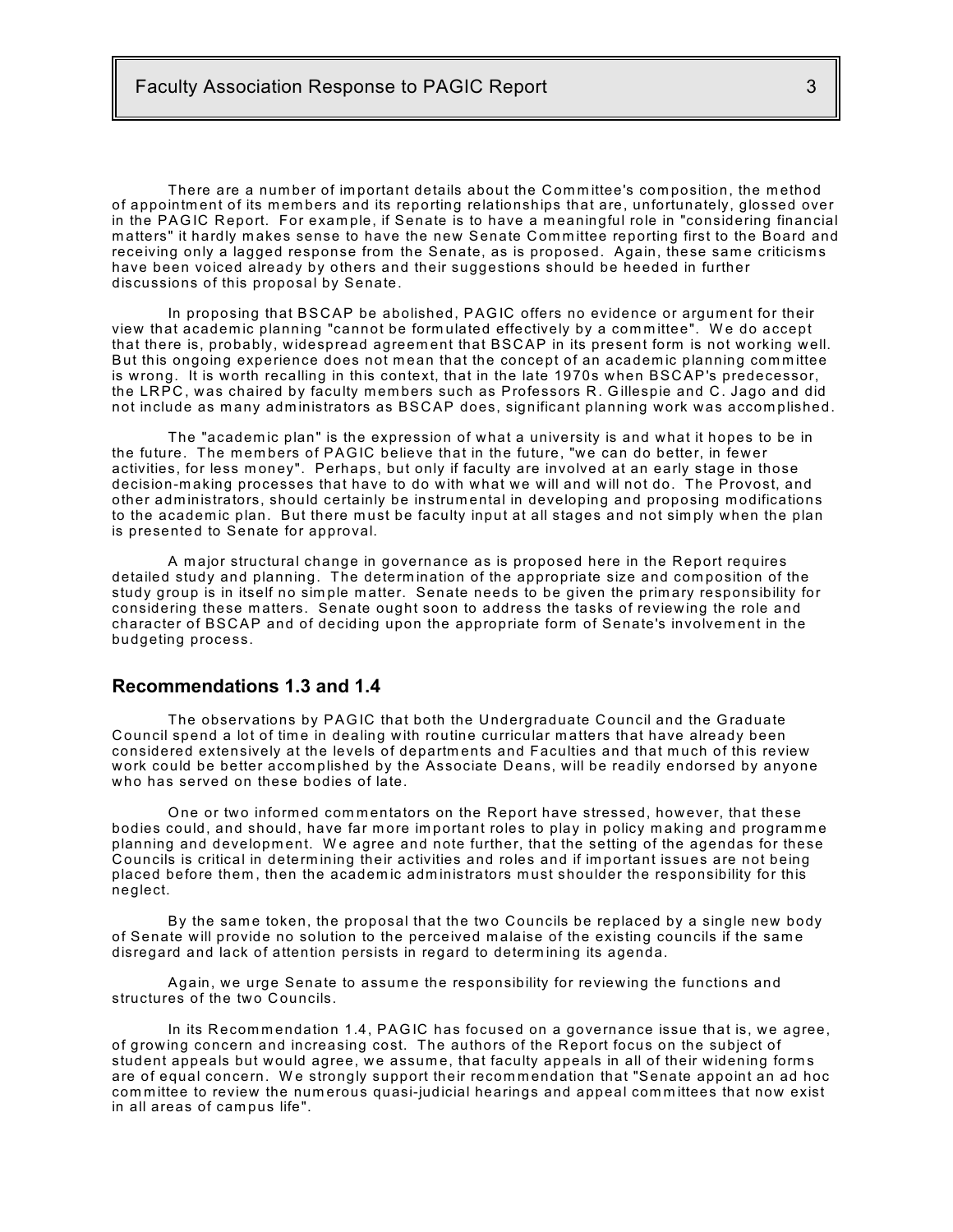There are a number of important details about the Committee's composition, the method of appointm ent of its m em bers and its reporting relationships that are, unfortunately, glossed over in the PAGIC Report. For example, if Senate is to have a meaningful role in "considering financial m atters" it hardly m akes sense to have the new Senate Com m ittee reporting first to the Board and receiving only a lagged response from the Senate, as is proposed. Again, these same criticisms have been voiced already by others and their suggestions should be heeded in further discussions of this proposal by Senate.

In proposing that BSC AP be abolished, PAGIC offers no evidence or argum ent for their view that academ ic planning "cannot be form ulated effectively by a com m ittee". W e do accept that there is, probably, widespread agreem ent that BSC AP in its present form is not working well. But this ongoing experience does not mean that the concept of an academic planning committee is wrong. It is worth recalling in this context, that in the late 1970s when BSC AP's predecessor, the LRPC, was chaired by faculty members such as Professors R. Gillespie and C. Jago and did not include as many administrators as BSCAP does, significant planning work was accomplished.

The "academic plan" is the expression of what a university is and what it hopes to be in the future. The members of PAGIC believe that in the future, "we can do better, in fewer activities, for less money". Perhaps, but only if faculty are involved at an early stage in those decision-m aking processes that have to do with what we will and will not do. The Provost, and other adm inistrators, should certainly be instrum ental in developing and proposing m odifications to the academic plan. But there must be faculty input at all stages and not simply when the plan is presented to Senate for approval.

A m ajor structural change in governance as is proposed here in the Report requires detailed study and planning. The determ ination of the appropriate size and com position of the study group is in itself no sim ple m atter. Senate needs to be given the prim ary responsibility for considering these m atters. Senate ought soon to address the tasks of reviewing the role and character of BSC AP and of deciding upon the appropriate form of Senate's involvem ent in the budgeting process.

#### **Recommendations 1.3 and 1.4**

The observations by PAGIC that both the Undergraduate Council and the Graduate Council spend a lot of time in dealing with routine curricular matters that have already been considered extensively at the levels of departm ents and Faculties and that m uch of this review w ork could be better accom plished by the Associate Deans, will be readily endorsed by anyone who has served on these bodies of late.

One or two informed commentators on the Report have stressed, however, that these bodies could, and should, have far more important roles to play in policy making and programme planning and development. We agree and note further, that the setting of the agendas for these C ouncils is critical in determ ining their activities and roles and if im portant issues are not being placed before them, then the academic administrators must shoulder the responsibility for this neglect.

By the same token, the proposal that the two Councils be replaced by a single new body of Senate will provide no solution to the perceived malaise of the existing councils if the same disregard and lack of attention persists in regard to determ ining its agenda.

Again, we urge Senate to assume the responsibility for reviewing the functions and structures of the two Councils.

In its Recommendation 1.4, PAGIC has focused on a governance issue that is, we agree, of growing concern and increasing cost. The authors of the Report focus on the subject of student appeals but would agree, we assum e, that faculty appeals in all of their widening form s are of equal concern. We strongly support their recommendation that "Senate appoint an ad hoc committee to review the numerous quasi-judicial hearings and appeal committees that now exist in all areas of cam pus life".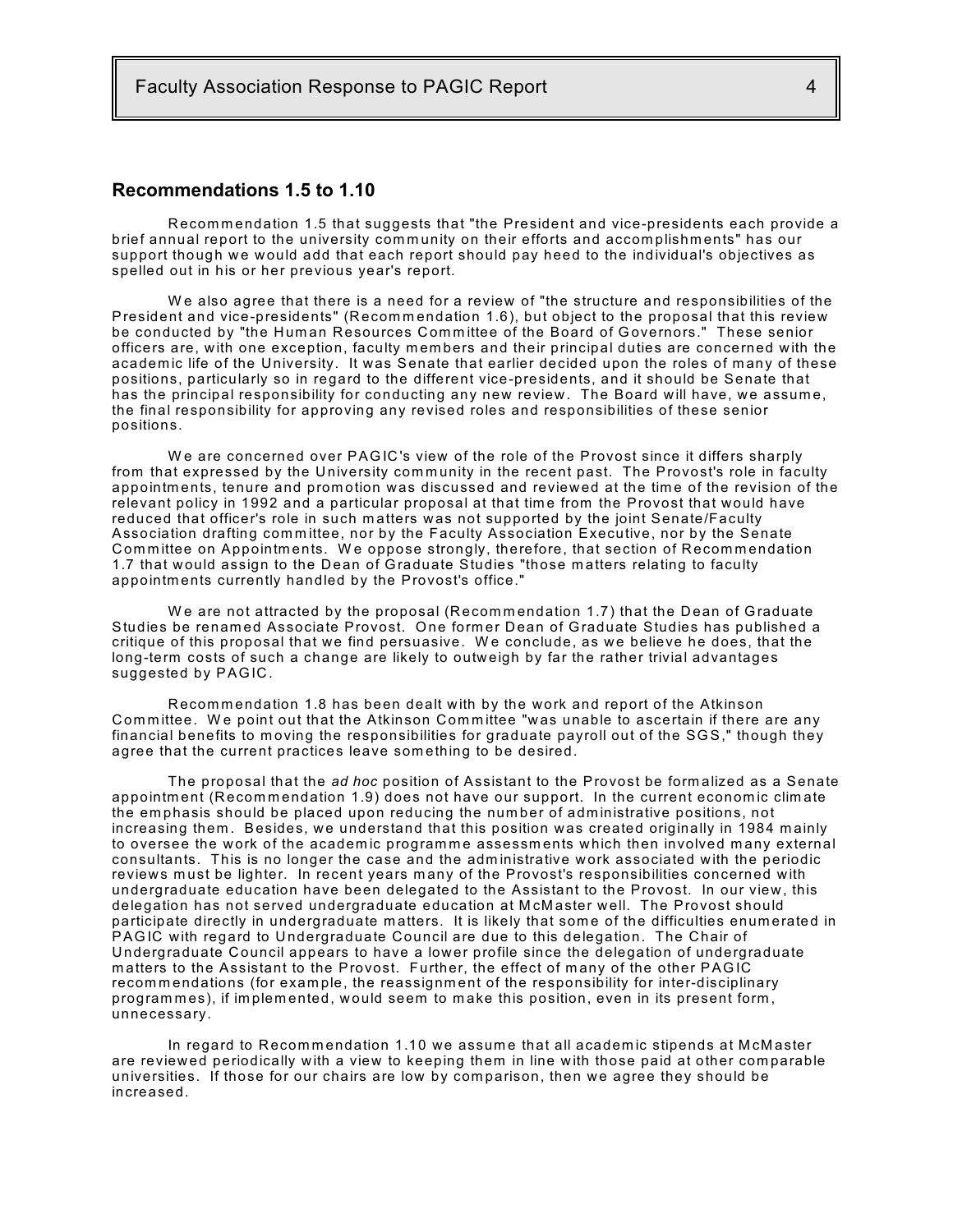## **Recommendations 1.5 to 1.10**

Recommendation 1.5 that suggests that "the President and vice-presidents each provide a brief annual report to the university community on their efforts and accomplishments" has our support though we would add that each report should pay heed to the individual's objectives as spelled out in his or her previous year's report.

W e also agree that there is a need for a review of "the structure and responsibilities of the President and vice-presidents" (Recommendation 1.6), but object to the proposal that this review be conducted by "the Human Resources Committee of the Board of Governors." These senior officers are, with one exception, faculty members and their principal duties are concerned with the academic life of the University. It was Senate that earlier decided upon the roles of many of these positions, particularly so in regard to the different vice-presidents, and it should be Senate that has the principal responsibility for conducting any new review. The Board will have, we assume, the final responsibility for approving any revised roles and responsibilities of these senior positions.

We are concerned over PAGIC's view of the role of the Provost since it differs sharply from that expressed by the University community in the recent past. The Provost's role in faculty appointments, tenure and promotion was discussed and reviewed at the time of the revision of the relevant policy in 1992 and a particular proposal at that time from the Provost that would have reduced that officer's role in such m atters was not supported by the joint Senate/Faculty Association drafting committee, nor by the Faculty Association Executive, nor by the Senate Committee on Appointments. We oppose strongly, therefore, that section of Recommendation 1.7 that would assign to the Dean of Graduate Studies "those m atters relating to faculty appointm ents currently handled by the Provost's office."

We are not attracted by the proposal (Recommendation 1.7) that the Dean of Graduate Studies be renam ed Associate Provost. One form er Dean of Graduate Studies has published a critique of this proposal that we find persuasive. We conclude, as we believe he does, that the long-term costs of such a change are likely to outweigh by far the rather trivial advantages suggested by PAGIC.

Recommendation 1.8 has been dealt with by the work and report of the Atkinson Committee. We point out that the Atkinson Committee "was unable to ascertain if there are any financial benefits to moving the responsibilities for graduate payroll out of the SGS," though they agree that the current practices leave som ething to be desired.

The proposal that the *ad hoc* position of Assistant to the Provost be form alized as a Senate appointment (Recommendation 1.9) does not have our support. In the current economic climate the em phasis should be placed upon reducing the num ber of adm inistrative positions, not increasing them. Besides, we understand that this position was created originally in 1984 mainly to oversee the work of the academic programme assessments which then involved many external consultants. This is no longer the case and the adm inistrative work associated with the periodic reviews must be lighter. In recent years many of the Provost's responsibilities concerned with undergraduate education have been delegated to the Assistant to the Provost. In our view , this delegation has not served undergraduate education at McMaster well. The Provost should participate directly in undergraduate matters. It is likely that some of the difficulties enumerated in PAGIC with regard to Undergraduate Council are due to this delegation. The Chair of Undergraduate Council appears to have a lower profile since the delegation of undergraduate matters to the Assistant to the Provost. Further, the effect of many of the other PAGIC recommendations (for example, the reassignment of the responsibility for inter-disciplinary program m es), if im plem ented, would seem to m ake this position, even in its present form , unnecessary.

In regard to Recommendation 1.10 we assume that all academic stipends at McMaster are review ed periodically with a view to keeping them in line with those paid at other com parable universities. If those for our chairs are low by comparison, then we agree they should be increased.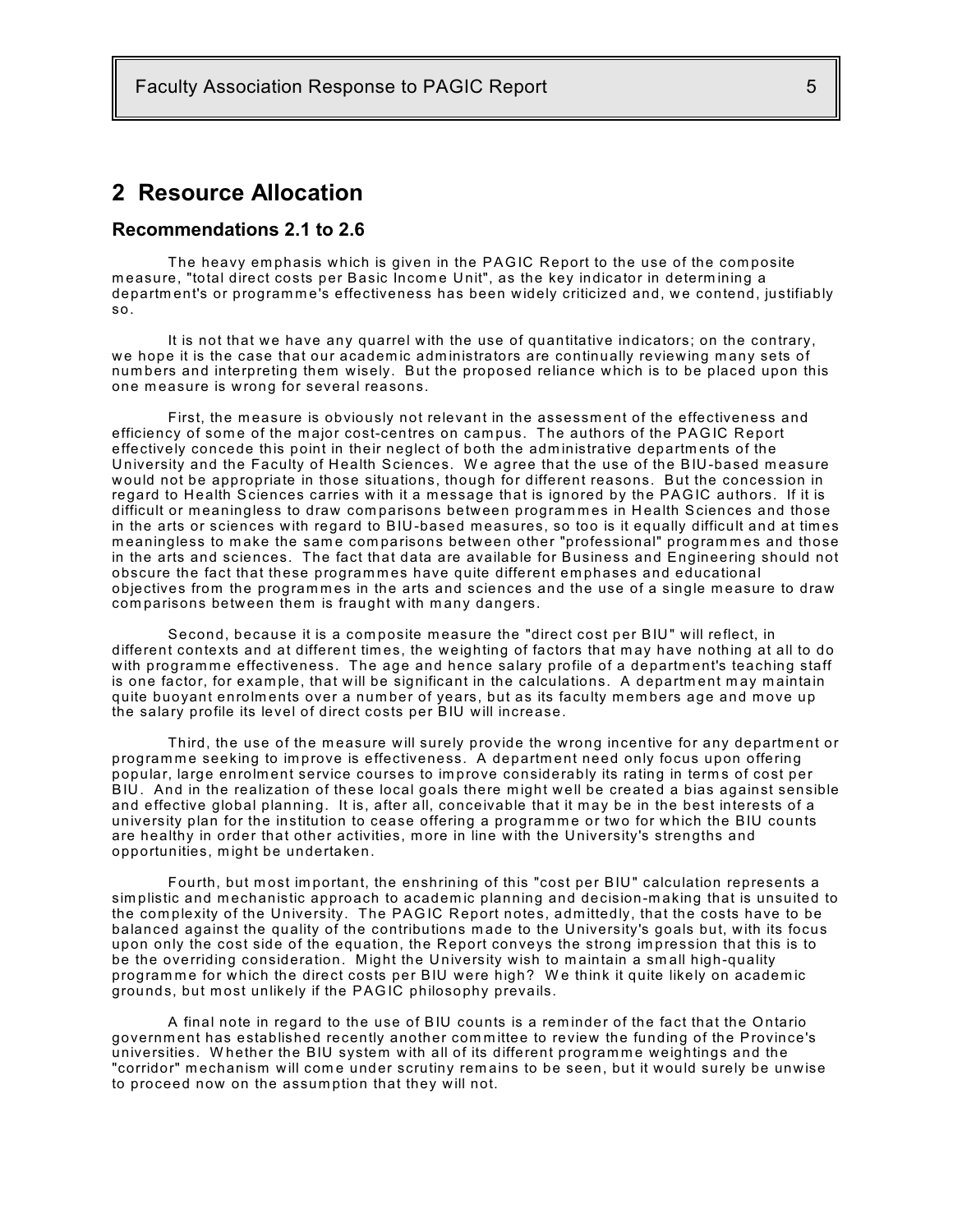## **2 Resource Allocation**

### **Recommendations 2.1 to 2.6**

The heavy em phasis which is given in the PAGIC Report to the use of the com posite measure, "total direct costs per Basic Income Unit", as the key indicator in determining a department's or programme's effectiveness has been widely criticized and, we contend, justifiably so.

It is not that we have any quarrel with the use of quantitative indicators; on the contrary, we hope it is the case that our academic administrators are continually reviewing many sets of num bers and interpreting them wisely. But the proposed reliance which is to be placed upon this one measure is wrong for several reasons.

First, the measure is obviously not relevant in the assessment of the effectiveness and efficiency of some of the major cost-centres on campus. The authors of the PAGIC Report effectively concede this point in their neglect of both the adm inistrative departm ents of the University and the Faculty of Health Sciences. We agree that the use of the BIU-based measure w ould not be appropriate in those situations, though for different reasons. But the concession in regard to Health Sciences carries with it a m essage that is ignored by the PAGIC authors. If it is difficult or meaningless to draw comparisons between programmes in Health Sciences and those in the arts or sciences with regard to BIU-based measures, so too is it equally difficult and at times meaningless to make the same comparisons between other "professional" programmes and those in the arts and sciences. The fact that data are available for Business and Engineering should not obscure the fact that these programmes have quite different emphases and educational objectives from the programmes in the arts and sciences and the use of a single measure to draw com parisons betw een them is fraught with m any dangers.

Second, because it is a composite measure the "direct cost per BIU" will reflect, in different contexts and at different tim es, the weighting of factors that m ay have nothing at all to do with programme effectiveness. The age and hence salary profile of a department's teaching staff is one factor, for example, that will be significant in the calculations. A department may maintain quite buoyant enrolments over a number of years, but as its faculty members age and move up the salary profile its level of direct costs per BIU will increase.

Third, the use of the measure will surely provide the wrong incentive for any department or programme seeking to improve is effectiveness. A department need only focus upon offering popular, large enrolm ent service courses to im prove considerably its rating in term s of cost per BIU. And in the realization of these local goals there might well be created a bias against sensible and effective global planning. It is, after all, conceivable that it m ay be in the best interests of a university plan for the institution to cease offering a programme or two for which the BIU counts are healthy in order that other activities, m ore in line with the University's strengths and opportunities, m ight be undertaken.

Fourth, but most important, the enshrining of this "cost per BIU" calculation represents a sim plistic and m echanistic approach to academ ic planning and decision-m aking that is unsuited to the com plexity of the University. The PAGIC Report notes, adm ittedly, that the costs have to be balanced against the quality of the contributions m ade to the University's goals but, with its focus upon only the cost side of the equation, the Report conveys the strong im pression that this is to be the overriding consideration. Might the University wish to maintain a small high-quality programme for which the direct costs per BIU were high? We think it quite likely on academic grounds, but m ost unlikely if the PAGIC philosophy prevails.

A final note in regard to the use of BIU counts is a rem inder of the fact that the Ontario governm ent has established recently another com m ittee to review the funding of the Province's universities. Whether the BIU system with all of its different programme weightings and the "corridor" mechanism will come under scrutiny remains to be seen, but it would surely be unwise to proceed now on the assum ption that they will not.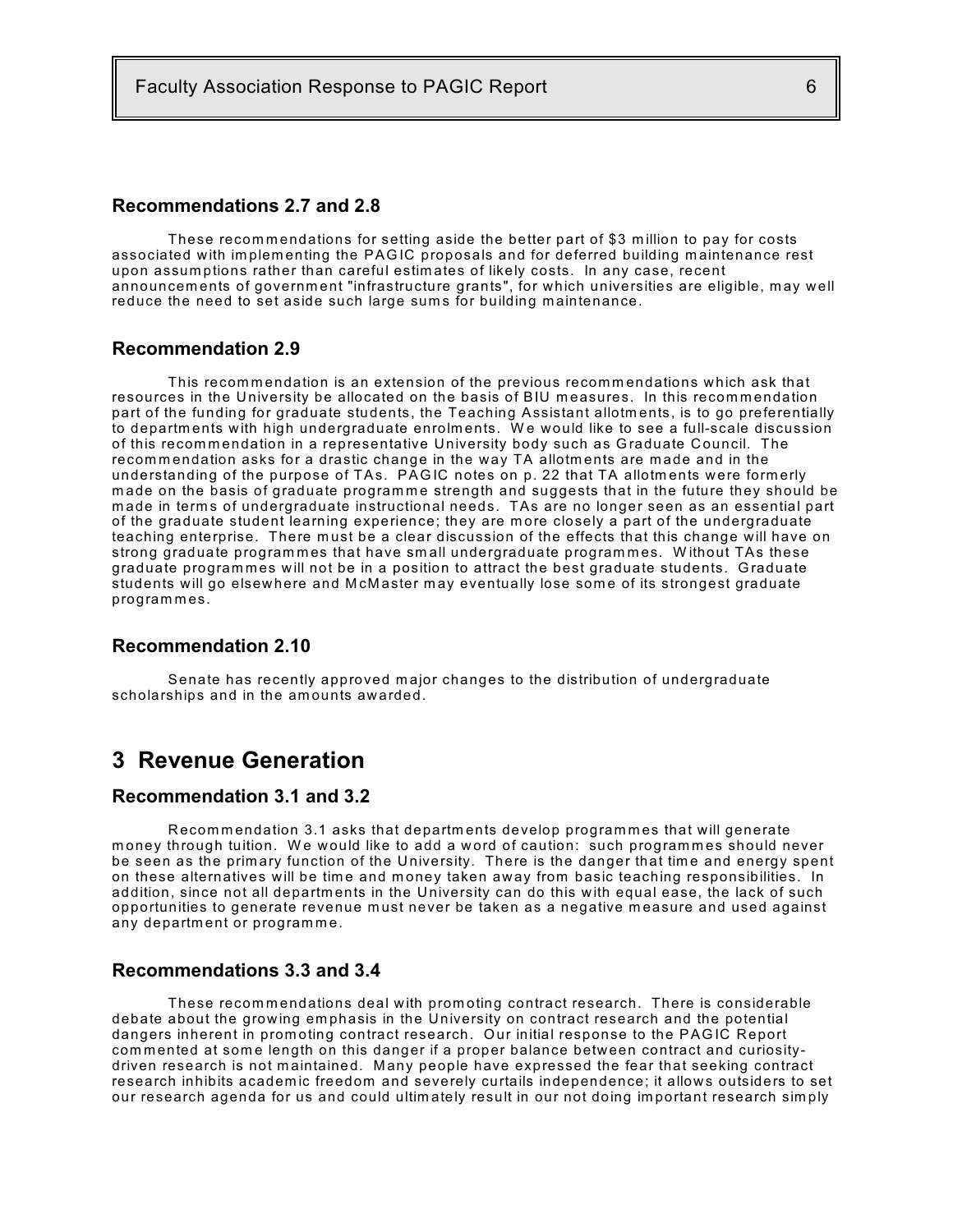## **Recommendations 2.7 and 2.8**

These recommendations for setting aside the better part of \$3 million to pay for costs associated with implementing the PAGIC proposals and for deferred building maintenance rest upon assum ptions rather than careful estim ates of likely costs. In any case, recent announcem ents of governm ent "infrastructure grants", for which universities are eligible, m ay well reduce the need to set aside such large sums for building maintenance.

#### **Recommendation 2.9**

This recommendation is an extension of the previous recommendations which ask that resources in the University be allocated on the basis of BIU measures. In this recommendation part of the funding for graduate students, the Teaching Assistant allotm ents, is to go preferentially to departments with high undergraduate enrolments. We would like to see a full-scale discussion of this recommendation in a representative University body such as Graduate Council. The recommendation asks for a drastic change in the way TA allotments are made and in the understanding of the purpose of TAs. PAGIC notes on p. 22 that TA allotments were formerly made on the basis of graduate programme strength and suggests that in the future they should be m ade in term s of undergraduate instructional needs. TAs are no longer seen as an essential part of the graduate student learning experience; they are m ore closely a part of the undergraduate teaching enterprise. There must be a clear discussion of the effects that this change will have on strong graduate programmes that have small undergraduate programmes. Without TAs these graduate programmes will not be in a position to attract the best graduate students. Graduate students will go elsewhere and McMaster may eventually lose some of its strongest graduate program m es.

#### **Recommendation 2.10**

Senate has recently approved m ajor changes to the distribution of undergraduate scholarships and in the am ounts awarded.

## **3 Revenue Generation**

## **Recommendation 3.1 and 3.2**

Recommendation 3.1 asks that departments develop programmes that will generate money through tuition. We would like to add a word of caution: such programmes should never be seen as the primary function of the University. There is the danger that time and energy spent on these alternatives will be time and money taken away from basic teaching responsibilities. In addition, since not all departments in the University can do this with equal ease, the lack of such opportunities to generate revenue must never be taken as a negative measure and used against any department or programme.

#### **Recommendations 3.3 and 3.4**

These recommendations deal with promoting contract research. There is considerable debate about the growing em phasis in the University on contract research and the potential dangers inherent in prom oting contract research. Our initial response to the PAGIC Report commented at some length on this danger if a proper balance between contract and curiositydriven research is not maintained. Many people have expressed the fear that seeking contract research inhibits academ ic freedom and severely curtails independence; it allows outsiders to set our research agenda for us and could ultim ately result in our not doing im portant research sim ply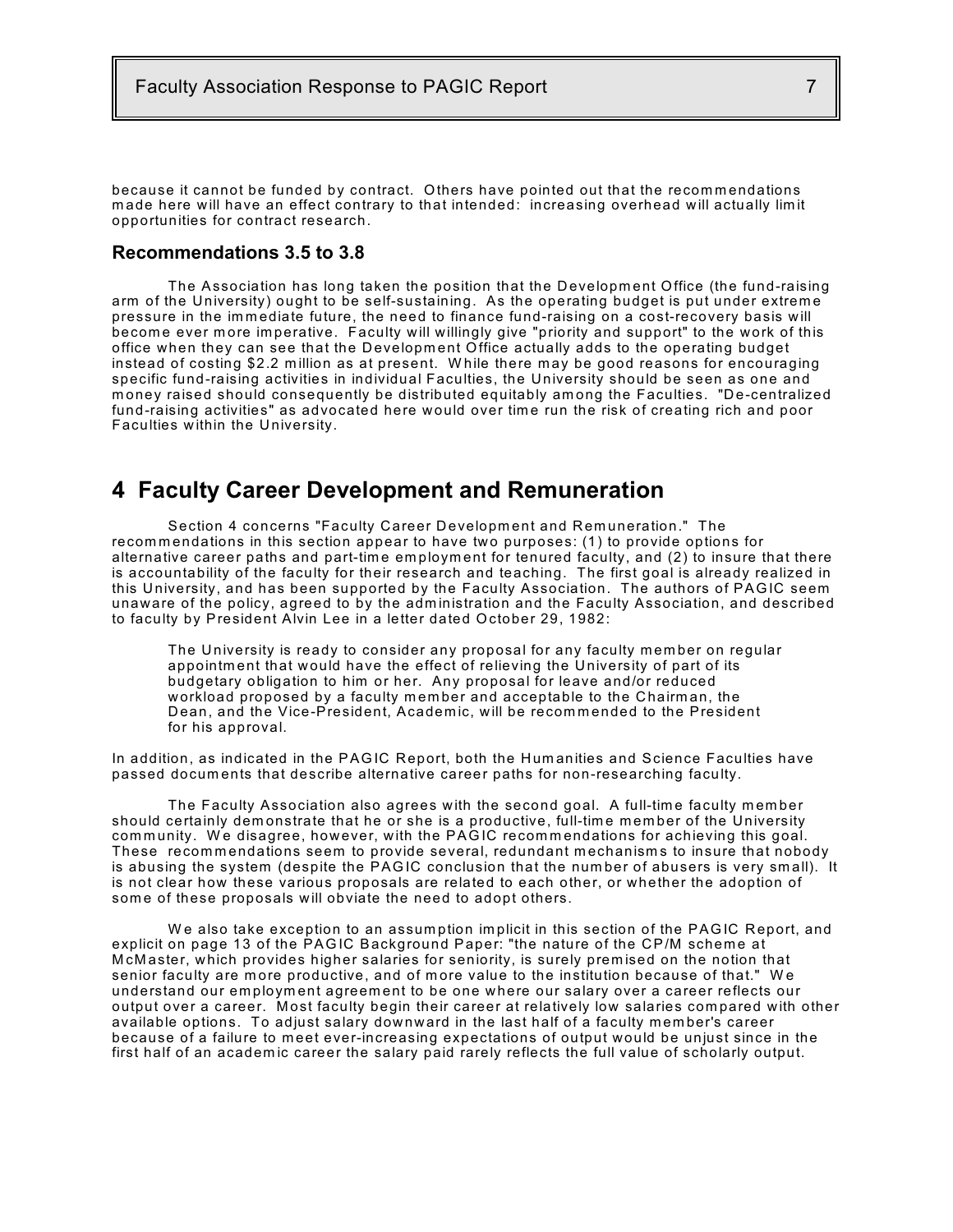because it cannot be funded by contract. Others have pointed out that the recommendations made here will have an effect contrary to that intended: increasing overhead will actually limit opportunities for contract research.

#### **Recommendations 3.5 to 3.8**

The Association has long taken the position that the Development Office (the fund-raising arm of the University) ought to be self-sustaining. As the operating budget is put under extrem e pressure in the immediate future, the need to finance fund-raising on a cost-recovery basis will becom e ever m ore im perative. Faculty will willingly give "priority and support" to the work of this office when they can see that the Development Office actually adds to the operating budget instead of costing \$2.2 million as at present. While there may be good reasons for encouraging specific fund-raising activities in individual Faculties, the University should be seen as one and money raised should consequently be distributed equitably among the Faculties. "De-centralized fund-raising activities" as advocated here would over time run the risk of creating rich and poor Faculties w ithin the University.

## **4 Faculty Career Development and Remuneration**

Section 4 concerns "Faculty Career Development and Remuneration." The recommendations in this section appear to have two purposes: (1) to provide options for alternative career paths and part-time employment for tenured faculty, and (2) to insure that there is accountability of the faculty for their research and teaching. The first goal is already realized in this University, and has been supported by the Faculty Association. The authors of PAGIC seem unaware of the policy, agreed to by the administration and the Faculty Association, and described to faculty by President Alvin Lee in a letter dated October 29, 1982:

The University is ready to consider any proposal for any faculty member on regular appointm ent that would have the effect of relieving the University of part of its budgetary obligation to him or her. Any proposal for leave and/or reduced workload proposed by a faculty member and acceptable to the Chairman, the Dean, and the Vice-President, Academic, will be recommended to the President for his approval.

In addition, as indicated in the PAGIC Report, both the Hum anities and Science Faculties have passed docum ents that describe alternative career paths for non-researching faculty.

The Faculty Association also agrees with the second goal. A full-tim e faculty m em ber should certainly demonstrate that he or she is a productive, full-time member of the University community. We disagree, however, with the PAGIC recommendations for achieving this goal. These recommendations seem to provide several, redundant mechanisms to insure that nobody is abusing the system (despite the PAGIC conclusion that the num ber of abusers is very sm all). It is not clear how these various proposals are related to each other, or whether the adoption of some of these proposals will obviate the need to adopt others.

We also take exception to an assumption implicit in this section of the PAGIC Report, and explicit on page 13 of the PAGIC Background Paper: "the nature of the CP/M scheme at M cM aster, which provides higher salaries for seniority, is surely premised on the notion that senior faculty are more productive, and of more value to the institution because of that." We understand our em ploym ent agreem ent to be one where our salary over a career reflects our output over a career. Most faculty begin their career at relatively low salaries compared with other available options. To adjust salary downward in the last half of a faculty member's career because of a failure to m eet ever-increasing expectations of output would be unjust since in the first half of an academ ic career the salary paid rarely reflects the full value of scholarly output.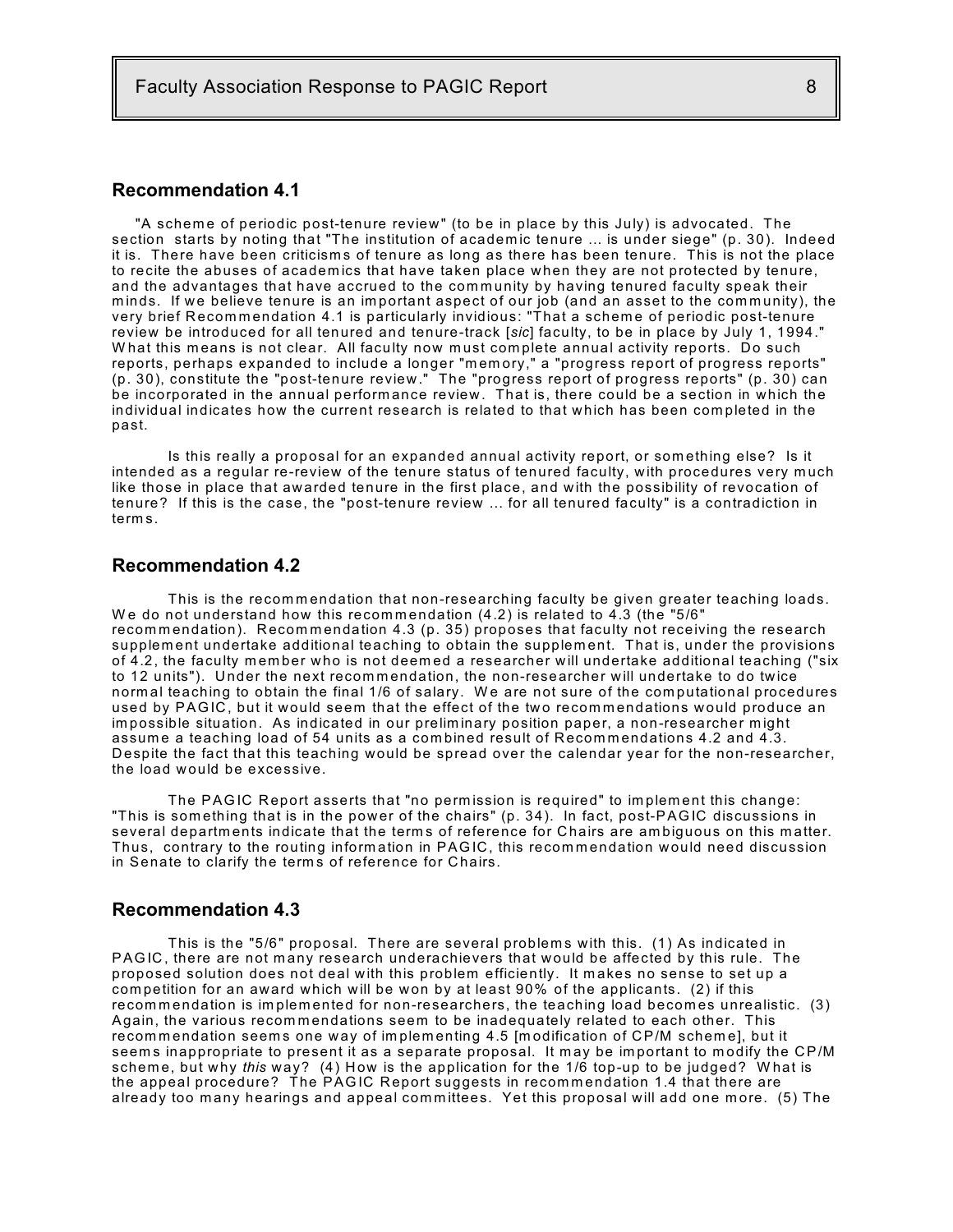## **Recommendation 4.1**

"A scheme of periodic post-tenure review" (to be in place by this July) is advocated. The section starts by noting that "The institution of academ ic tenure ... is under siege" (p. 30). Indeed it is. There have been criticism s of tenure as long as there has been tenure. This is not the place to recite the abuses of academ ics that have taken place when they are not protected by tenure, and the advantages that have accrued to the community by having tenured faculty speak their minds. If we believe tenure is an important aspect of our job (and an asset to the community), the very brief Recommendation 4.1 is particularly invidious: "That a scheme of periodic post-tenure review be introduced for all tenured and tenure-track [*sic*] faculty, to be in place by July 1, 1994." What this means is not clear. All faculty now must complete annual activity reports. Do such reports, perhaps expanded to include a longer "m em ory," a "progress report of progress reports" (p. 30), constitute the "post-tenure review." The "progress report of progress reports" (p. 30) can be incorporated in the annual perform ance review. That is, there could be a section in which the individual indicates how the current research is related to that which has been com pleted in the past.

Is this really a proposal for an expanded annual activity report, or som ething else? Is it intended as a regular re-review of the tenure status of tenured faculty, with procedures very much like those in place that awarded tenure in the first place, and with the possibility of revocation of tenure? If this is the case, the "post-tenure review ... for all tenured faculty" is a contradiction in term s.

## **Recommendation 4.2**

This is the recommendation that non-researching faculty be given greater teaching loads. We do not understand how this recommendation  $(4.2)$  is related to  $4.3$  (the "5/6" recommendation). Recommendation 4.3 (p. 35) proposes that faculty not receiving the research supplem ent undertake additional teaching to obtain the supplem ent. That is, under the provisions of 4.2, the faculty member who is not deemed a researcher will undertake additional teaching ("six to 12 units"). Under the next recommendation, the non-researcher will undertake to do twice normal teaching to obtain the final 1/6 of salary. We are not sure of the computational procedures used by PAGIC, but it would seem that the effect of the two recommendations would produce an im possible situation. As indicated in our prelim inary position paper, a non-researcher m ight assume a teaching load of 54 units as a combined result of Recommendations 4.2 and 4.3. D espite the fact that this teaching would be spread over the calendar year for the non-researcher, the load would be excessive.

The PAGIC Report asserts that "no perm ission is required" to im plem ent this change: "This is som ething that is in the pow er of the chairs" (p. 34). In fact, post-PAGIC discussions in several departments indicate that the terms of reference for Chairs are ambiguous on this matter. Thus, contrary to the routing information in PAGIC, this recommendation would need discussion in Senate to clarify the terms of reference for Chairs.

#### **Recommendation 4.3**

This is the "5/6" proposal. There are several problems with this. (1) As indicated in PAGIC, there are not many research underachievers that would be affected by this rule. The proposed solution does not deal with this problem efficiently. It m akes no sense to set up a com petition for an award which will be won by at least 90% of the applicants. (2) if this recommendation is implemented for non-researchers, the teaching load becomes unrealistic. (3) Again, the various recommendations seem to be inadequately related to each other. This recommendation seems one way of implementing 4.5 [modification of CP/M scheme], but it seems inappropriate to present it as a separate proposal. It may be important to modify the CP/M schem e, but why *this* way? (4) How is the application for the 1/6 top-up to be judged? W hat is the appeal procedure? The PAGIC Report suggests in recommendation 1.4 that there are already too many hearings and appeal committees. Yet this proposal will add one more. (5) The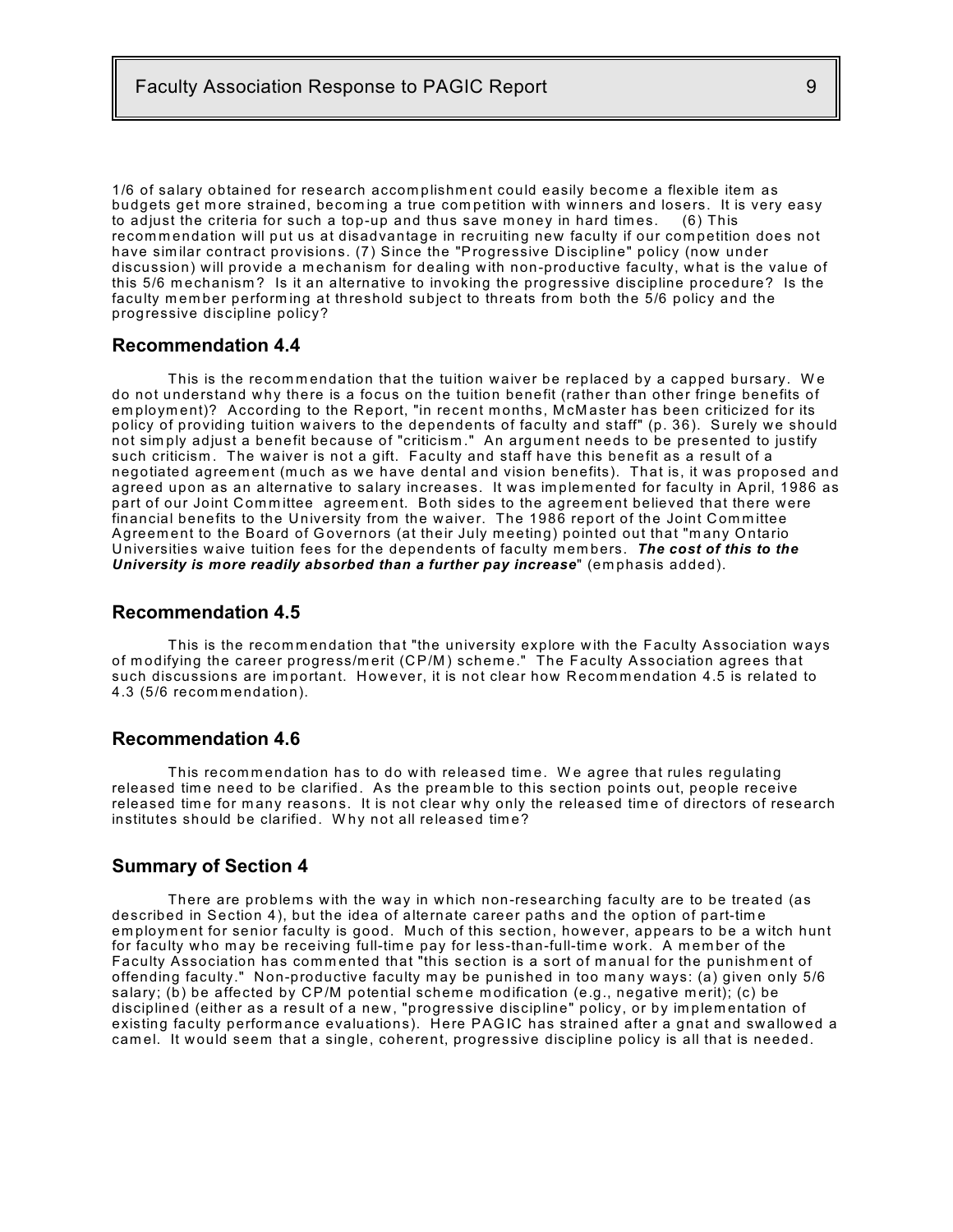1/6 of salary obtained for research accomplishment could easily become a flexible item as budgets get m ore strained, becom ing a true com petition with w inners and losers. It is very easy to adjust the criteria for such a top-up and thus save money in hard times. (6) This recommendation will put us at disadvantage in recruiting new faculty if our competition does not have sim ilar contract provisions. (7) Since the "Progressive Discipline" policy (now under discussion) will provide a m echanism for dealing with non-productive faculty, what is the value of this 5/6 m echanism ? Is it an alternative to invoking the progressive discipline procedure? Is the faculty member performing at threshold subject to threats from both the 5/6 policy and the progressive discipline policy?

#### **Recommendation 4.4**

This is the recommendation that the tuition waiver be replaced by a capped bursary. We do not understand w hy there is a focus on the tuition benefit (rather than other fringe benefits of em ploym ent)? According to the Report, "in recent m onths, M cM aster has been criticized for its policy of providing tuition waivers to the dependents of faculty and staff" (p. 36). Surely we should not sim ply adjust a benefit because of "criticism ." An argum ent needs to be presented to justify such criticism . The waiver is not a gift. Faculty and staff have this benefit as a result of a negotiated agreem ent (m uch as we have dental and vision benefits). That is, it was proposed and agreed upon as an alternative to salary increases. It was im plem ented for faculty in April, 1986 as part of our Joint Committee agreement. Both sides to the agreement believed that there were financial benefits to the University from the waiver. The 1986 report of the Joint Com m ittee Agreement to the Board of Governors (at their July meeting) pointed out that "many Ontario Universities waive tuition fees for the dependents of faculty members. The cost of this to the *University is more readily absorbed than a further pay increase*" (emphasis added).

### **Recommendation 4.5**

This is the recommendation that "the university explore with the Faculty Association ways of modifying the career progress/merit (CP/M) scheme." The Faculty Association agrees that such discussions are important. However, it is not clear how Recommendation 4.5 is related to 4.3 (5/6 recommendation).

#### **Recommendation 4.6**

This recommendation has to do with released time. We agree that rules regulating released time need to be clarified. As the preamble to this section points out, people receive released time for many reasons. It is not clear why only the released time of directors of research institutes should be clarified. W hy not all released tim e?

#### **Summary of Section 4**

There are problems with the way in which non-researching faculty are to be treated (as described in Section 4), but the idea of alternate career paths and the option of part-tim e employment for senior faculty is good. Much of this section, however, appears to be a witch hunt for faculty who m ay be receiving full-tim e pay for less-than-full-tim e work. A m em ber of the Faculty Association has commented that "this section is a sort of manual for the punishment of offending faculty." Non-productive faculty may be punished in too many ways: (a) given only 5/6 salary; (b) be affected by CP/M potential scheme modification (e.g., negative merit); (c) be disciplined (either as a result of a new, "progressive discipline" policy, or by im plem entation of existing faculty performance evaluations). Here PAGIC has strained after a gnat and swallowed a cam el. It w ould seem that a single, coherent, progressive discipline policy is all that is needed.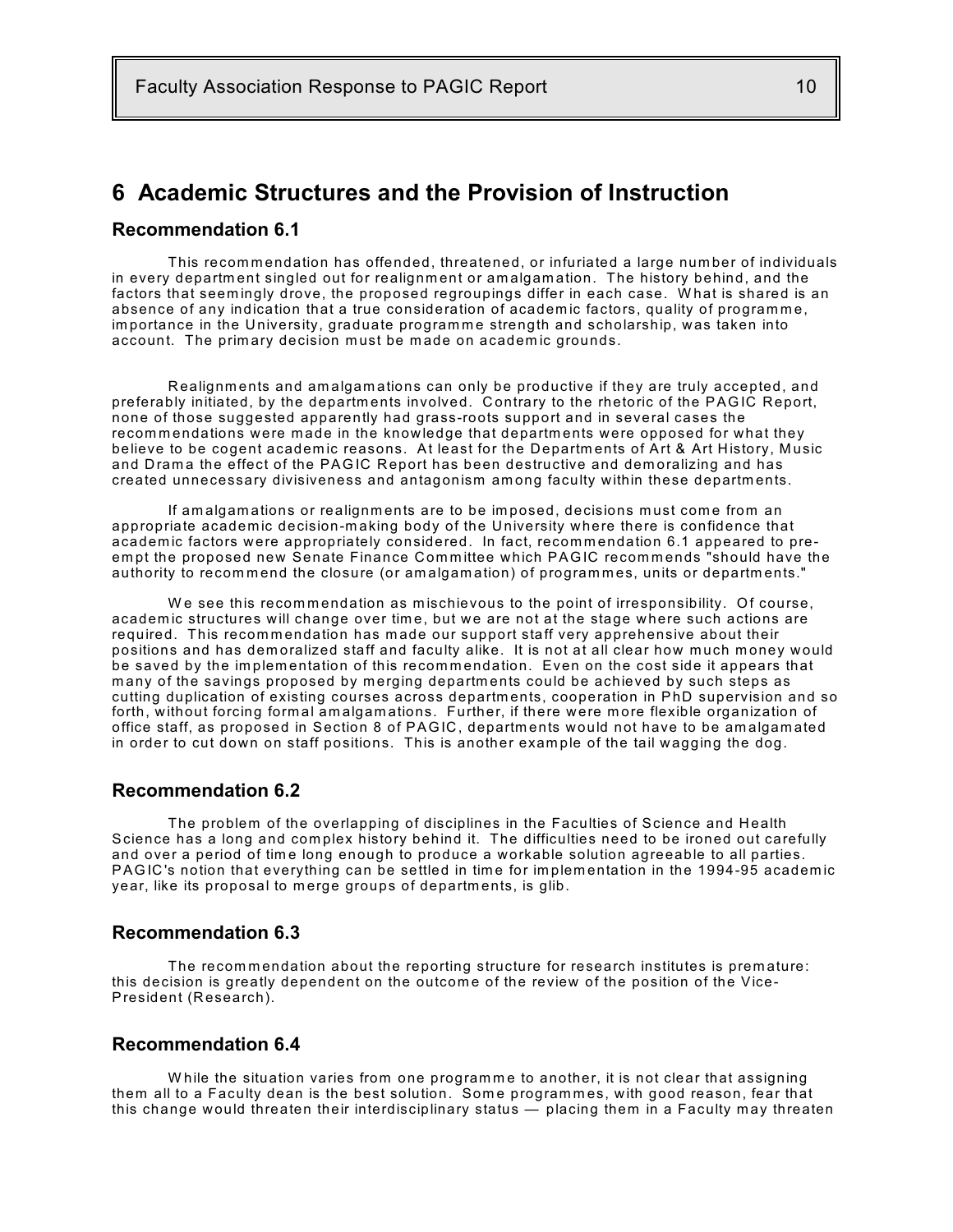## **6 Academic Structures and the Provision of Instruction**

## **Recommendation 6.1**

This recommendation has offended, threatened, or infuriated a large number of individuals in every department singled out for realignment or amalgamation. The history behind, and the factors that seem ingly drove, the proposed regroupings differ in each case. W hat is shared is an absence of any indication that a true consideration of academic factors, quality of programme, importance in the University, graduate programme strength and scholarship, was taken into account. The primary decision must be made on academic grounds.

R ealignm ents and am algam ations can only be productive if they are truly accepted, and preferably initiated, by the departm ents involved. C ontrary to the rhetoric of the PAGIC Report, none of those suggested apparently had grass-roots support and in several cases the recommendations were made in the knowledge that departments were opposed for what they believe to be cogent academic reasons. At least for the Departments of Art & Art History, Music and Drama the effect of the PAGIC Report has been destructive and demoralizing and has created unnecessary divisiveness and antagonism am ong faculty within these departm ents.

If amalgamations or realignments are to be imposed, decisions must come from an appropriate academ ic decision-m aking body of the University where there is confidence that academic factors were appropriately considered. In fact, recommendation 6.1 appeared to preempt the proposed new Senate Finance Committee which PAGIC recommends "should have the authority to recommend the closure (or amalgamation) of programmes, units or departments."

We see this recommendation as mischievous to the point of irresponsibility. Of course, academ ic structures will change over tim e, but we are not at the stage where such actions are required. This recommendation has made our support staff very apprehensive about their positions and has demoralized staff and faculty alike. It is not at all clear how much money would be saved by the implementation of this recommendation. Even on the cost side it appears that many of the savings proposed by merging departments could be achieved by such steps as cutting duplication of existing courses across departm ents, cooperation in PhD supervision and so forth, without forcing form al am algam ations. Further, if there were m ore flexible organization of office staff, as proposed in Section 8 of PAGIC , departm ents would not have to be am algam ated in order to cut down on staff positions. This is another example of the tail wagging the dog.

### **Recommendation 6.2**

The problem of the overlapping of disciplines in the Faculties of Science and Health Science has a long and com plex history behind it. The difficulties need to be ironed out carefully and over a period of time long enough to produce a workable solution agreeable to all parties. PAGIC's notion that everything can be settled in time for implementation in the 1994-95 academic year, like its proposal to merge groups of departments, is glib.

## **Recommendation 6.3**

The recommendation about the reporting structure for research institutes is premature: this decision is greatly dependent on the outcome of the review of the position of the Vice-President (Research).

### **Recommendation 6.4**

While the situation varies from one programme to another, it is not clear that assigning them all to a Faculty dean is the best solution. Some programmes, with good reason, fear that this change would threaten their interdisciplinary status — placing them in a Faculty may threaten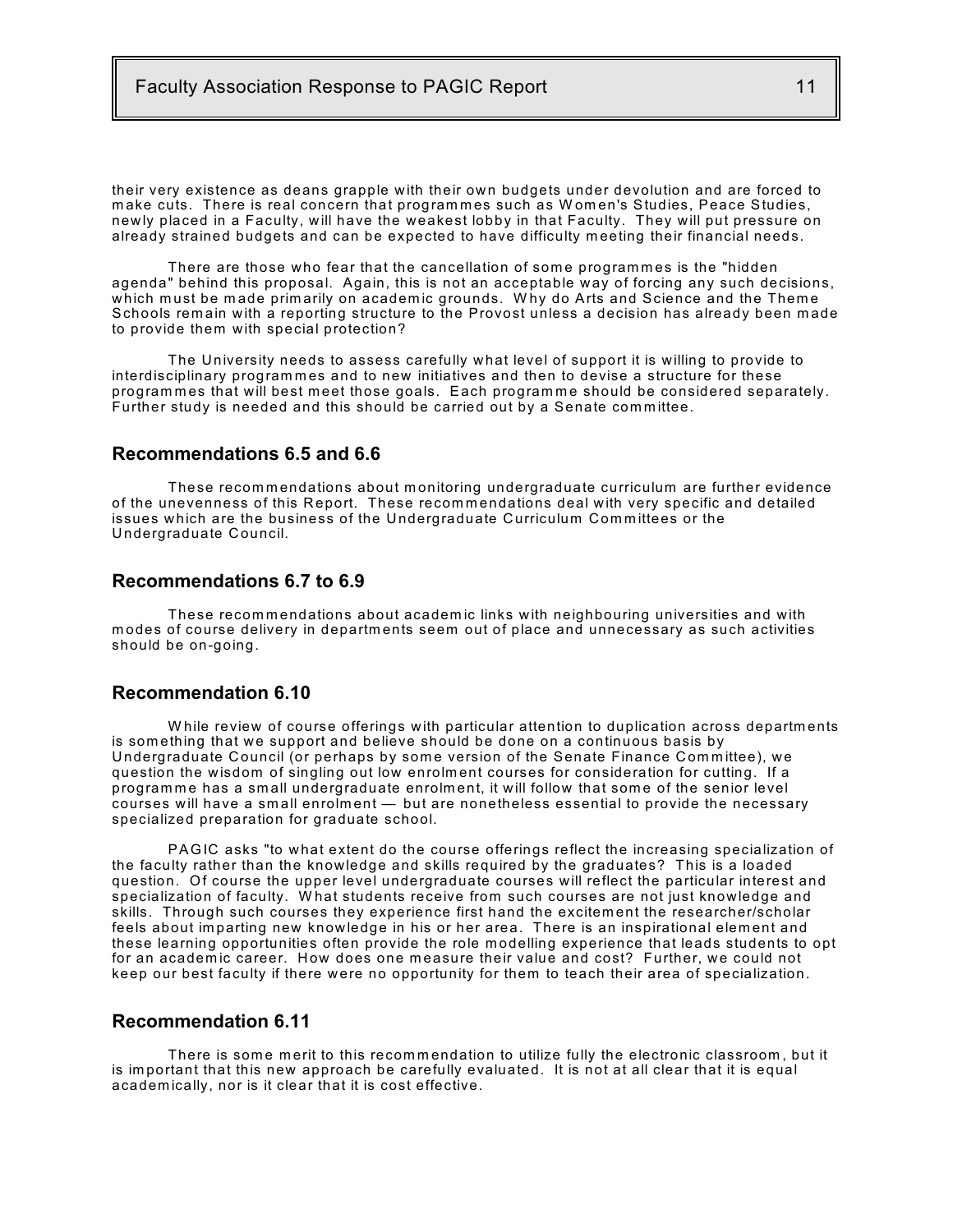their very existence as deans grapple with their own budgets under devolution and are forced to make cuts. There is real concern that programmes such as Women's Studies, Peace Studies, newly placed in a Faculty, will have the weakest lobby in that Faculty. They will put pressure on already strained budgets and can be expected to have difficulty meeting their financial needs.

There are those who fear that the cancellation of some programmes is the "hidden agenda" behind this proposal. Again, this is not an acceptable w ay of forcing any such decisions, which must be made primarily on academic grounds. Why do Arts and Science and the Theme Schools rem ain with a reporting structure to the Provost unless a decision has already been m ade to provide them with special protection?

The University needs to assess carefully what level of support it is willing to provide to interdisciplinary programmes and to new initiatives and then to devise a structure for these programmes that will best meet those goals. Each programme should be considered separately. Further study is needed and this should be carried out by a Senate committee.

### **Recommendations 6.5 and 6.6**

These recommendations about monitoring undergraduate curriculum are further evidence of the unevenness of this Report. These recommendations deal with very specific and detailed issues which are the business of the Undergraduate Curriculum Com m ittees or the U ndergraduate Council.

## **Recommendations 6.7 to 6.9**

These recommendations about academic links with neighbouring universities and with m odes of course delivery in departm ents seem out of place and unnecessary as such activities should be on-going.

## **Recommendation 6.10**

While review of course offerings with particular attention to duplication across departments is som ething that we support and believe should be done on a continuous basis by Undergraduate Council (or perhaps by some version of the Senate Finance Committee), we question the wisdom of singling out low enrolm ent courses for consideration for cutting. If a programme has a small undergraduate enrolment, it will follow that some of the senior level courses will have a sm all enrolm ent — but are nonetheless essential to provide the necessary specialized preparation for graduate school.

PAGIC asks "to what extent do the course offerings reflect the increasing specialization of the faculty rather than the knowledge and skills required by the graduates? This is a loaded question. Of course the upper level undergraduate courses will reflect the particular interest and specialization of faculty. W hat students receive from such courses are not just knowledge and skills. Through such courses they experience first hand the excitem ent the researcher/scholar feels about im parting new knowledge in his or her area. There is an inspirational elem ent and these learning opportunities often provide the role m odelling experience that leads students to opt for an academic career. How does one measure their value and cost? Further, we could not keep our best faculty if there were no opportunity for them to teach their area of specialization.

#### **Recommendation 6.11**

There is some merit to this recommendation to utilize fully the electronic classroom, but it is im portant that this new approach be carefully evaluated. It is not at all clear that it is equal academ ically, nor is it clear that it is cost effective.